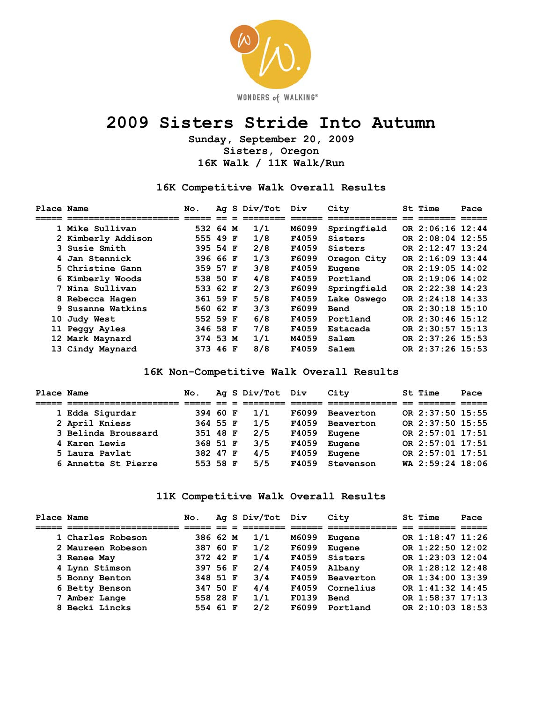

# **2009 Sisters Stride Into Autumn**

**Sunday, September 20, 2009 Sisters, Oregon 16K Walk / 11K Walk/Run** 

**16K Competitive Walk Overall Results** 

| Place Name |                    | No.      |  | Ag S Div/Tot Div |       | City        | St Time          | Pace |
|------------|--------------------|----------|--|------------------|-------|-------------|------------------|------|
|            |                    |          |  |                  |       |             |                  |      |
|            | 1 Mike Sullivan    | 532 64 M |  | 1/1              | M6099 | Springfield | OR 2:06:16 12:44 |      |
|            | 2 Kimberly Addison | 555 49 F |  | 1/8              | F4059 | Sisters     | OR 2:08:04 12:55 |      |
|            | 3 Susie Smith      | 395 54 F |  | 2/8              | F4059 | Sisters     | OR 2:12:47 13:24 |      |
|            | 4 Jan Stennick     | 396 66 F |  | 1/3              | F6099 | Oregon City | OR 2:16:09 13:44 |      |
|            | 5 Christine Gann   | 359 57 F |  | 3/8              | F4059 | Eugene      | OR 2:19:05 14:02 |      |
|            | 6 Kimberly Woods   | 538 50 F |  | 4/8              | F4059 | Portland    | OR 2:19:06 14:02 |      |
|            | 7 Nina Sullivan    | 533 62 F |  | 2/3              | F6099 | Springfield | OR 2:22:38 14:23 |      |
|            | 8 Rebecca Hagen    | 361 59 F |  | 5/8              | F4059 | Lake Oswego | OR 2:24:18 14:33 |      |
|            | 9 Susanne Watkins  | 560 62 F |  | 3/3              | F6099 | Bend        | OR 2:30:18 15:10 |      |
|            | 10 Judy West       | 552 59 F |  | 6/8              | F4059 | Portland    | OR 2:30:46 15:12 |      |
|            | 11 Peggy Ayles     | 346 58 F |  | 7/8              | F4059 | Estacada    | OR 2:30:57 15:13 |      |
|            | 12 Mark Maynard    | 374 53 M |  | 1/1              | M4059 | Salem       | OR 2:37:26 15:53 |      |
|            | 13 Cindy Maynard   | 373 46 F |  | 8/8              | F4059 | Salem       | OR 2:37:26 15:53 |      |

#### **16K Non-Competitive Walk Overall Results**

| <b>Place Name</b> |                     | No.      |  | Ag S Div/Tot Div |       | City      | St Time          | Pace |
|-------------------|---------------------|----------|--|------------------|-------|-----------|------------------|------|
|                   |                     |          |  |                  |       |           |                  |      |
|                   | 1 Edda Sigurdar     | 394 60 F |  | 1/1              | F6099 | Beaverton | OR 2:37:50 15:55 |      |
|                   | 2 April Kniess      | 364 55 F |  | 1/5              | F4059 | Beaverton | OR 2:37:50 15:55 |      |
|                   | 3 Belinda Broussard | 351 48 F |  | 2/5              | F4059 | Eugene    | OR 2:57:01 17:51 |      |
|                   | 4 Karen Lewis       | 368 51 F |  | 3/5              | F4059 | Eugene    | OR 2:57:01 17:51 |      |
|                   | 5 Laura Pavlat      | 382 47 F |  | 4/5              | F4059 | Eugene    | OR 2:57:01 17:51 |      |
|                   | 6 Annette St Pierre | 553 58 F |  | 5/5              | F4059 | Stevenson | WA 2:59:24 18:06 |      |

#### **11K Competitive Walk Overall Results**

| Place Name |                   | No.      |  | Ag S Div/Tot Div |       | City             | St Time              | Pace |
|------------|-------------------|----------|--|------------------|-------|------------------|----------------------|------|
|            |                   |          |  |                  |       |                  |                      |      |
|            | 1 Charles Robeson | 386 62 M |  | 1/1              | M6099 | Eugene           | OR 1:18:47 11:26     |      |
|            | 2 Maureen Robeson | 387 60 F |  | 1/2              | F6099 | Eugene           | OR 1:22:50 12:02     |      |
|            | 3 Renee May       | 372 42 F |  | 1/4              | F4059 | Sisters          | OR 1:23:03 12:04     |      |
|            | 4 Lynn Stimson    | 397 56 F |  | 2/4              | F4059 | Albany           | OR 1:28:12 12:48     |      |
|            | 5 Bonny Benton    | 348 51 F |  | 3/4              | F4059 | <b>Beaverton</b> | OR 1:34:00 13:39     |      |
|            | 6 Betty Benson    | 347 50 F |  | 4/4              | F4059 | Cornelius        | OR $1:41:32$ $14:45$ |      |
|            | 7 Amber Lange     | 558 28 F |  | 1/1              | F0139 | Bend             | OR 1:58:37 17:13     |      |
|            | 8 Becki Lincks    | 554 61 F |  | 2/2              | F6099 | Portland         | OR 2:10:03 18:53     |      |